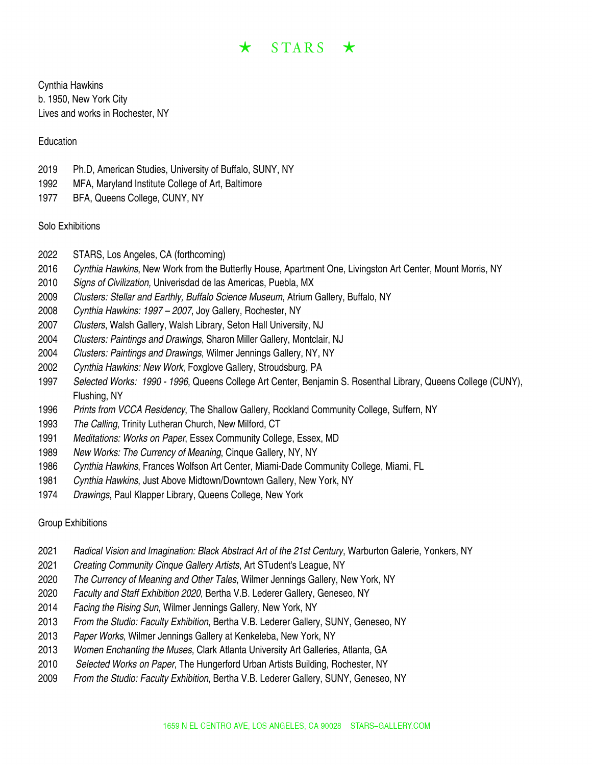# $\star$  STARS  $\star$

Cynthia Hawkins b. 1950, New York City Lives and works in Rochester, NY

#### Education

- Ph.D, American Studies, University of Buffalo, SUNY, NY
- MFA, Maryland Institute College of Art, Baltimore
- BFA, Queens College, CUNY, NY

### Solo Exhibitions

- STARS, Los Angeles, CA (forthcoming)
- *Cynthia Hawkins*, New Work from the Butterfly House, Apartment One, Livingston Art Center, Mount Morris, NY
- *Signs of Civilization,* Univerisdad de las Americas, Puebla, MX
- *Clusters: Stellar and Earthly, Buffalo Science Museum*, Atrium Gallery, Buffalo, NY
- *Cynthia Hawkins: 1997 – 2007*, Joy Gallery, Rochester, NY
- *Clusters*, Walsh Gallery, Walsh Library, Seton Hall University, NJ
- *Clusters: Paintings and Drawings*, Sharon Miller Gallery, Montclair, NJ
- *Clusters: Paintings and Drawings*, Wilmer Jennings Gallery, NY, NY
- *Cynthia Hawkins: New Work*, Foxglove Gallery, Stroudsburg, PA
- *Selected Works: 1990 - 1996*, Queens College Art Center, Benjamin S. Rosenthal Library, Queens College (CUNY), Flushing, NY
- *Prints from VCCA Residency*, The Shallow Gallery, Rockland Community College, Suffern, NY
- *The Calling*, Trinity Lutheran Church, New Milford, CT
- *Meditations: Works on Paper*, Essex Community College, Essex, MD
- *New Works: The Currency of Meaning*, Cinque Gallery, NY, NY
- *Cynthia Hawkins*, Frances Wolfson Art Center, Miami-Dade Community College, Miami, FL
- *Cynthia Hawkins*, Just Above Midtown/Downtown Gallery, New York, NY
- *Drawings*, Paul Klapper Library, Queens College, New York

## Group Exhibitions

- *Radical Vision and Imagination: Black Abstract Art of the 21st Century*, Warburton Galerie, Yonkers, NY
- *Creating Community Cinque Gallery Artists*, Art STudent's League, NY
- *The Currency of Meaning and Other Tales*, Wilmer Jennings Gallery, New York, NY
- *Faculty and Staff Exhibition 2020*, Bertha V.B. Lederer Gallery, Geneseo, NY
- *Facing the Rising Sun*, Wilmer Jennings Gallery, New York, NY
- *From the Studio: Faculty Exhibition*, Bertha V.B. Lederer Gallery, SUNY, Geneseo, NY
- *Paper Works*, Wilmer Jennings Gallery at Kenkeleba, New York, NY
- *Women Enchanting the Muses*, Clark Atlanta University Art Galleries, Atlanta, GA
- *Selected Works on Paper*, The Hungerford Urban Artists Building, Rochester, NY
- *From the Studio: Faculty Exhibition*, Bertha V.B. Lederer Gallery, SUNY, Geneseo, NY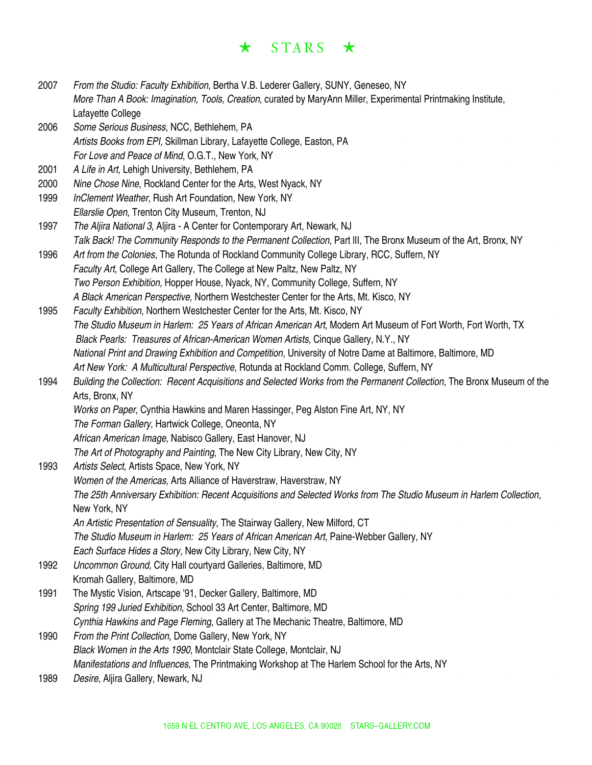# $\star$  STARS  $\star$

| 2007 | From the Studio: Faculty Exhibition, Bertha V.B. Lederer Gallery, SUNY, Geneseo, NY<br>More Than A Book: Imagination, Tools, Creation, curated by MaryAnn Miller, Experimental Printmaking Institute, |
|------|-------------------------------------------------------------------------------------------------------------------------------------------------------------------------------------------------------|
|      | Lafayette College                                                                                                                                                                                     |
| 2006 | Some Serious Business, NCC, Bethlehem, PA                                                                                                                                                             |
|      | Artists Books from EPI, Skillman Library, Lafayette College, Easton, PA                                                                                                                               |
|      | For Love and Peace of Mind, O.G.T., New York, NY                                                                                                                                                      |
| 2001 | A Life in Art, Lehigh University, Bethlehem, PA                                                                                                                                                       |
| 2000 | Nine Chose Nine, Rockland Center for the Arts, West Nyack, NY                                                                                                                                         |
| 1999 | InClement Weather, Rush Art Foundation, New York, NY                                                                                                                                                  |
|      | Ellarslie Open, Trenton City Museum, Trenton, NJ                                                                                                                                                      |
| 1997 | The Aljira National 3, Aljira - A Center for Contemporary Art, Newark, NJ                                                                                                                             |
|      | Talk Back! The Community Responds to the Permanent Collection, Part III, The Bronx Museum of the Art, Bronx, NY                                                                                       |
| 1996 | Art from the Colonies, The Rotunda of Rockland Community College Library, RCC, Suffern, NY                                                                                                            |
|      | Faculty Art, College Art Gallery, The College at New Paltz, New Paltz, NY                                                                                                                             |
|      | Two Person Exhibition, Hopper House, Nyack, NY, Community College, Suffern, NY                                                                                                                        |
|      | A Black American Perspective, Northern Westchester Center for the Arts, Mt. Kisco, NY                                                                                                                 |
| 1995 | Faculty Exhibition, Northern Westchester Center for the Arts, Mt. Kisco, NY                                                                                                                           |
|      | The Studio Museum in Harlem: 25 Years of African American Art, Modern Art Museum of Fort Worth, Fort Worth, TX                                                                                        |
|      | Black Pearls: Treasures of African-American Women Artists, Cinque Gallery, N.Y., NY                                                                                                                   |
|      | National Print and Drawing Exhibition and Competition, University of Notre Dame at Baltimore, Baltimore, MD                                                                                           |
|      | Art New York: A Multicultural Perspective, Rotunda at Rockland Comm. College, Suffern, NY                                                                                                             |
| 1994 | Building the Collection: Recent Acquisitions and Selected Works from the Permanent Collection, The Bronx Museum of the                                                                                |
|      | Arts, Bronx, NY                                                                                                                                                                                       |
|      | Works on Paper, Cynthia Hawkins and Maren Hassinger, Peg Alston Fine Art, NY, NY                                                                                                                      |
|      | The Forman Gallery, Hartwick College, Oneonta, NY                                                                                                                                                     |
|      | African American Image, Nabisco Gallery, East Hanover, NJ                                                                                                                                             |
|      | The Art of Photography and Painting, The New City Library, New City, NY                                                                                                                               |
| 1993 | Artists Select, Artists Space, New York, NY                                                                                                                                                           |
|      | Women of the Americas, Arts Alliance of Haverstraw, Haverstraw, NY                                                                                                                                    |
|      | The 25th Anniversary Exhibition: Recent Acquisitions and Selected Works from The Studio Museum in Harlem Collection,                                                                                  |
|      | New York, NY                                                                                                                                                                                          |
|      | An Artistic Presentation of Sensuality, The Stairway Gallery, New Milford, CT                                                                                                                         |
|      | The Studio Museum in Harlem: 25 Years of African American Art, Paine-Webber Gallery, NY                                                                                                               |
|      | Each Surface Hides a Story, New City Library, New City, NY                                                                                                                                            |
| 1992 | Uncommon Ground, City Hall courtyard Galleries, Baltimore, MD                                                                                                                                         |
|      | Kromah Gallery, Baltimore, MD                                                                                                                                                                         |
| 1991 | The Mystic Vision, Artscape '91, Decker Gallery, Baltimore, MD                                                                                                                                        |
|      | Spring 199 Juried Exhibition, School 33 Art Center, Baltimore, MD                                                                                                                                     |
|      | Cynthia Hawkins and Page Fleming, Gallery at The Mechanic Theatre, Baltimore, MD                                                                                                                      |
| 1990 | From the Print Collection, Dome Gallery, New York, NY                                                                                                                                                 |
|      | Black Women in the Arts 1990, Montclair State College, Montclair, NJ                                                                                                                                  |
|      | Manifestations and Influences, The Printmaking Workshop at The Harlem School for the Arts, NY                                                                                                         |
| 1989 | Desire, Aljira Gallery, Newark, NJ                                                                                                                                                                    |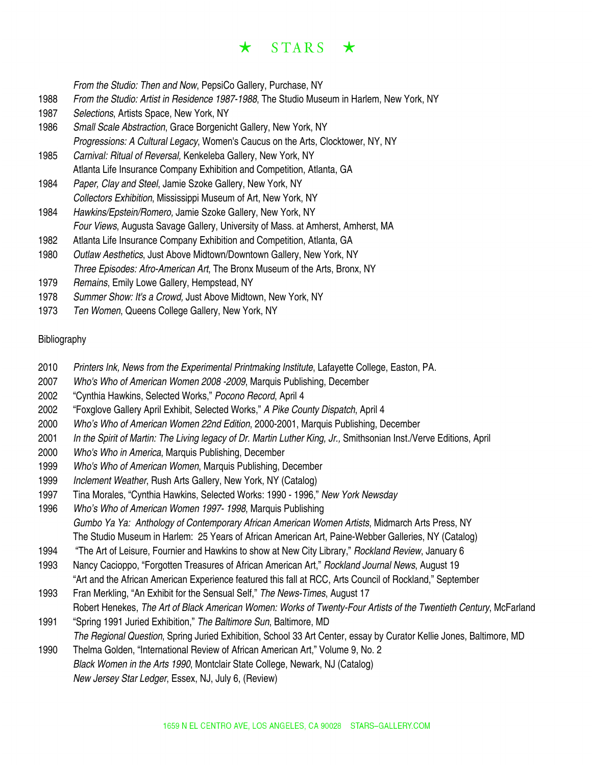#### $STARS \star$  $\star$

*From the Studio: Then and Now*, PepsiCo Gallery, Purchase, NY

- 1988 *From the Studio: Artist in Residence 1987-1988*, The Studio Museum in Harlem, New York, NY
- 1987 *Selections*, Artists Space, New York, NY
- 1986 *Small Scale Abstraction*, Grace Borgenicht Gallery, New York, NY *Progressions: A Cultural Legacy*, Women's Caucus on the Arts, Clocktower, NY, NY
- 1985 *Carnival: Ritual of Reversal,* Kenkeleba Gallery, New York, NY Atlanta Life Insurance Company Exhibition and Competition, Atlanta, GA
- 1984 *Paper, Clay and Steel*, Jamie Szoke Gallery, New York, NY *Collectors Exhibition*, Mississippi Museum of Art, New York, NY
- 1984 *Hawkins/Epstein/Romero,* Jamie Szoke Gallery, New York, NY *Four Views*, Augusta Savage Gallery, University of Mass. at Amherst, Amherst, MA
- 1982 Atlanta Life Insurance Company Exhibition and Competition, Atlanta, GA
- 1980 *Outlaw Aesthetics*, Just Above Midtown/Downtown Gallery, New York, NY *Three Episodes: Afro-American Art*, The Bronx Museum of the Arts, Bronx, NY
- 1979 *Remains*, Emily Lowe Gallery, Hempstead, NY
- 1978 *Summer Show: It's a Crowd,* Just Above Midtown, New York, NY
- 1973 *Ten Women*, Queens College Gallery, New York, NY

#### Bibliography

- 2010 *Printers Ink, News from the Experimental Printmaking Institute*, Lafayette College, Easton, PA.
- 2007 *Who's Who of American Women 2008 -2009*, Marquis Publishing, December
- 2002 "Cynthia Hawkins, Selected Works," *Pocono Record*, April 4
- 2002 "Foxglove Gallery April Exhibit, Selected Works," *A Pike County Dispatch*, April 4
- 2000 *Who's Who of American Women 22nd Edition*, 2000-2001, Marquis Publishing, December
- 2001 *In the Spirit of Martin: The Living legacy of Dr. Martin Luther King, Jr.,* Smithsonian Inst./Verve Editions, April
- 2000 *Who's Who in America*, Marquis Publishing, December
- 1999 *Who's Who of American Women*, Marquis Publishing, December
- 1999 *Inclement Weather*, Rush Arts Gallery, New York, NY (Catalog)
- 1997 Tina Morales, "Cynthia Hawkins, Selected Works: 1990 1996," *New York Newsday*
- 1996 *Who's Who of American Women 1997- 1998*, Marquis Publishing *Gumbo Ya Ya: Anthology of Contemporary African American Women Artists*, Midmarch Arts Press, NY The Studio Museum in Harlem: 25 Years of African American Art, Paine-Webber Galleries, NY (Catalog)
- 1994 "The Art of Leisure, Fournier and Hawkins to show at New City Library," *Rockland Review*, January 6
- 1993 Nancy Cacioppo, "Forgotten Treasures of African American Art," *Rockland Journal News*, August 19 "Art and the African American Experience featured this fall at RCC, Arts Council of Rockland," September
- 1993 Fran Merkling, "An Exhibit for the Sensual Self," *The News-Times*, August 17 Robert Henekes, *The Art of Black American Women: Works of Twenty-Four Artists of the Twentieth Century*, McFarland 1991 "Spring 1991 Juried Exhibition," *The Baltimore Sun*, Baltimore, MD
- *The Regional Question*, Spring Juried Exhibition, School 33 Art Center, essay by Curator Kellie Jones, Baltimore, MD 1990 Thelma Golden, "International Review of African American Art," Volume 9, No. 2
- *Black Women in the Arts 1990*, Montclair State College, Newark, NJ (Catalog) *New Jersey Star Ledger*, Essex, NJ, July 6, (Review)